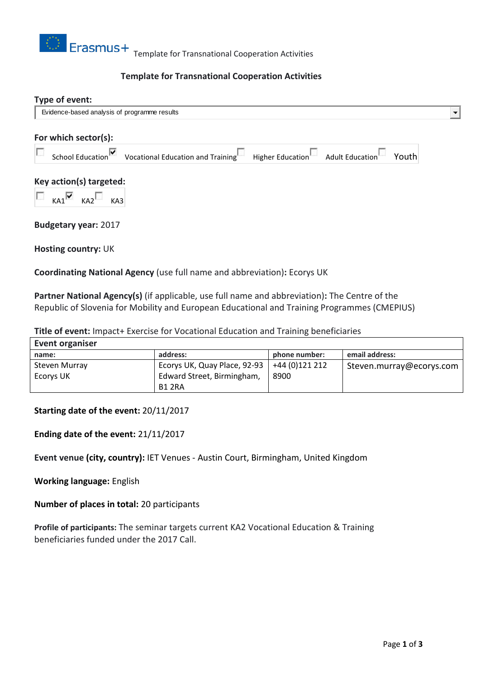

## **Template for Transnational Cooperation Activities**

| Type of event:                               |                                                                    |  |  |       |  |
|----------------------------------------------|--------------------------------------------------------------------|--|--|-------|--|
| Evidence-based analysis of programme results |                                                                    |  |  |       |  |
|                                              |                                                                    |  |  |       |  |
| For which sector(s):                         |                                                                    |  |  |       |  |
| г<br>School Education                        | Vocational Education and Training Higher Education Adult Education |  |  | Youth |  |
|                                              |                                                                    |  |  |       |  |
| Key action(s) targeted:                      |                                                                    |  |  |       |  |
|                                              |                                                                    |  |  |       |  |
| $KAI$ $KAI$<br>KA3                           |                                                                    |  |  |       |  |
|                                              |                                                                    |  |  |       |  |
| <b>Budgetary year: 2017</b>                  |                                                                    |  |  |       |  |
|                                              |                                                                    |  |  |       |  |
| <b>Hosting country: UK</b>                   |                                                                    |  |  |       |  |

**Coordinating National Agency** (use full name and abbreviation)**:** Ecorys UK

**Partner National Agency(s)** (if applicable, use full name and abbreviation)**:** The Centre of the Republic of Slovenia for Mobility and European Educational and Training Programmes (CMEPIUS)

**Title of event:** Impact+ Exercise for Vocational Education and Training beneficiaries

| Event organiser |                                               |               |                          |  |  |  |
|-----------------|-----------------------------------------------|---------------|--------------------------|--|--|--|
| name:           | address:                                      | phone number: | email address:           |  |  |  |
| Steven Murray   | Ecorys UK, Quay Place, 92-93   +44 (0)121 212 |               | Steven.murray@ecorys.com |  |  |  |
| Ecorys UK       | Edward Street, Birmingham,                    | 8900          |                          |  |  |  |
|                 | <b>B1 2RA</b>                                 |               |                          |  |  |  |

**Starting date of the event:** 20/11/2017

**Ending date of the event:** 21/11/2017

**Event venue (city, country):** IET Venues - Austin Court, Birmingham, United Kingdom

**Working language:** English

**Number of places in total:** 20 participants

**Profile of participants:** The seminar targets current KA2 Vocational Education & Training beneficiaries funded under the 2017 Call.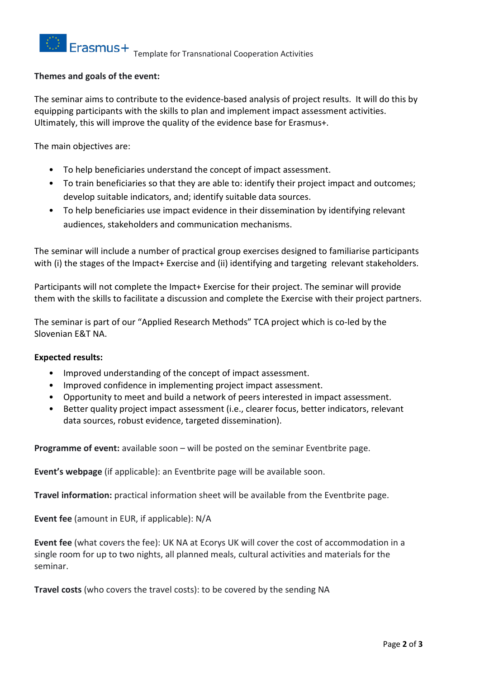

## **Themes and goals of the event:**

The seminar aims to contribute to the evidence-based analysis of project results. It will do this by equipping participants with the skills to plan and implement impact assessment activities. Ultimately, this will improve the quality of the evidence base for Erasmus+.

The main objectives are:

- To help beneficiaries understand the concept of impact assessment.
- To train beneficiaries so that they are able to: identify their project impact and outcomes; develop suitable indicators, and; identify suitable data sources.
- To help beneficiaries use impact evidence in their dissemination by identifying relevant audiences, stakeholders and communication mechanisms.

The seminar will include a number of practical group exercises designed to familiarise participants with (i) the stages of the Impact+ Exercise and (ii) identifying and targeting relevant stakeholders.

Participants will not complete the Impact+ Exercise for their project. The seminar will provide them with the skills to facilitate a discussion and complete the Exercise with their project partners.

The seminar is part of our "Applied Research Methods" TCA project which is co-led by the Slovenian E&T NA.

## **Expected results:**

- Improved understanding of the concept of impact assessment.
- Improved confidence in implementing project impact assessment.
- Opportunity to meet and build a network of peers interested in impact assessment.
- Better quality project impact assessment (i.e., clearer focus, better indicators, relevant data sources, robust evidence, targeted dissemination).

**Programme of event:** available soon – will be posted on the seminar Eventbrite page.

**Event's webpage** (if applicable): an Eventbrite page will be available soon.

**Travel information:** practical information sheet will be available from the Eventbrite page.

**Event fee** (amount in EUR, if applicable): N/A

**Event fee** (what covers the fee): UK NA at Ecorys UK will cover the cost of accommodation in a single room for up to two nights, all planned meals, cultural activities and materials for the seminar.

**Travel costs** (who covers the travel costs): to be covered by the sending NA